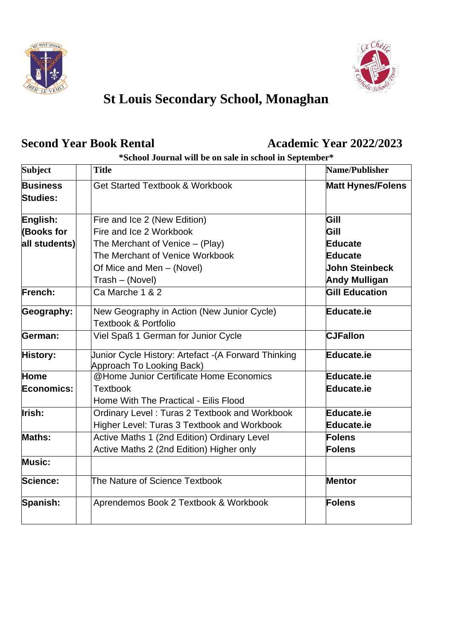



# **St Louis Secondary School, Monaghan**

## **Second Year Book Rental <b>Academic Year 2022/2023**

### **\*School Journal will be on sale in school in September\***

| <b>Subject</b>                     | <b>Title</b>                                                                     | Name/Publisher           |
|------------------------------------|----------------------------------------------------------------------------------|--------------------------|
| <b>Business</b><br><b>Studies:</b> | <b>Get Started Textbook &amp; Workbook</b>                                       | <b>Matt Hynes/Folens</b> |
| English:                           | Fire and Ice 2 (New Edition)                                                     | Gill                     |
| <b>(Books for</b>                  | Fire and Ice 2 Workbook                                                          | Gill                     |
| all students)                      | The Merchant of Venice $-$ (Play)                                                | Educate                  |
|                                    | The Merchant of Venice Workbook                                                  | <b>Educate</b>           |
|                                    | Of Mice and Men - (Novel)                                                        | <b>John Steinbeck</b>    |
|                                    | Trash - (Novel)                                                                  | <b>Andy Mulligan</b>     |
| French:                            | Ca Marche 1 & 2                                                                  | <b>Gill Education</b>    |
| Geography:                         | New Geography in Action (New Junior Cycle)<br><b>Textbook &amp; Portfolio</b>    | <b>Educate.ie</b>        |
| German:                            | Viel Spaß 1 German for Junior Cycle                                              | <b>CJFallon</b>          |
| History:                           | Junior Cycle History: Artefact -(A Forward Thinking<br>Approach To Looking Back) | Educate.ie               |
| Home                               | @Home Junior Certificate Home Economics                                          | Educate.ie               |
| Economics:                         | <b>Textbook</b>                                                                  | <b>Educate.ie</b>        |
|                                    | Home With The Practical - Eilis Flood                                            |                          |
| Irish:                             | Ordinary Level: Turas 2 Textbook and Workbook                                    | <b>Educate.ie</b>        |
|                                    | Higher Level: Turas 3 Textbook and Workbook                                      | Educate.ie               |
| <b>Maths:</b>                      | Active Maths 1 (2nd Edition) Ordinary Level                                      | Folens                   |
|                                    | Active Maths 2 (2nd Edition) Higher only                                         | Folens                   |
| <b>Music:</b>                      |                                                                                  |                          |
| Science:                           | The Nature of Science Textbook                                                   | <b>Mentor</b>            |
| Spanish:                           | Aprendemos Book 2 Textbook & Workbook                                            | Folens                   |